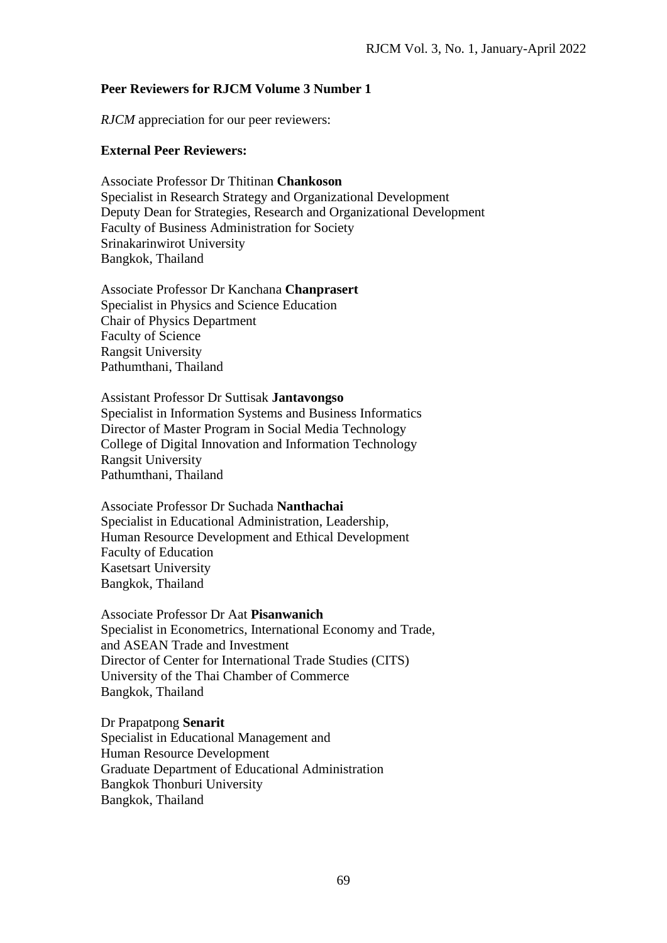## **Peer Reviewers for RJCM Volume 3 Number 1**

*RJCM* appreciation for our peer reviewers:

## **External Peer Reviewers:**

Associate Professor Dr Thitinan **Chankoson** Specialist in Research Strategy and Organizational Development Deputy Dean for Strategies, Research and Organizational Development Faculty of Business Administration for Society Srinakarinwirot University Bangkok, Thailand

Associate Professor Dr Kanchana **Chanprasert** Specialist in Physics and Science Education Chair of Physics Department Faculty of Science Rangsit University Pathumthani, Thailand

Assistant Professor Dr Suttisak **Jantavongso** Specialist in Information Systems and Business Informatics Director of Master Program in Social Media Technology College of Digital Innovation and Information Technology Rangsit University Pathumthani, Thailand

Associate Professor Dr Suchada **Nanthachai** Specialist in Educational Administration, Leadership, Human Resource Development and Ethical Development Faculty of Education Kasetsart University Bangkok, Thailand

Associate Professor Dr Aat **Pisanwanich**  Specialist in Econometrics, International Economy and Trade, and ASEAN Trade and Investment Director of Center for International Trade Studies (CITS) University of the Thai Chamber of Commerce Bangkok, Thailand

Dr Prapatpong **Senarit** Specialist in Educational Management and Human Resource Development Graduate Department of Educational Administration Bangkok Thonburi University Bangkok, Thailand